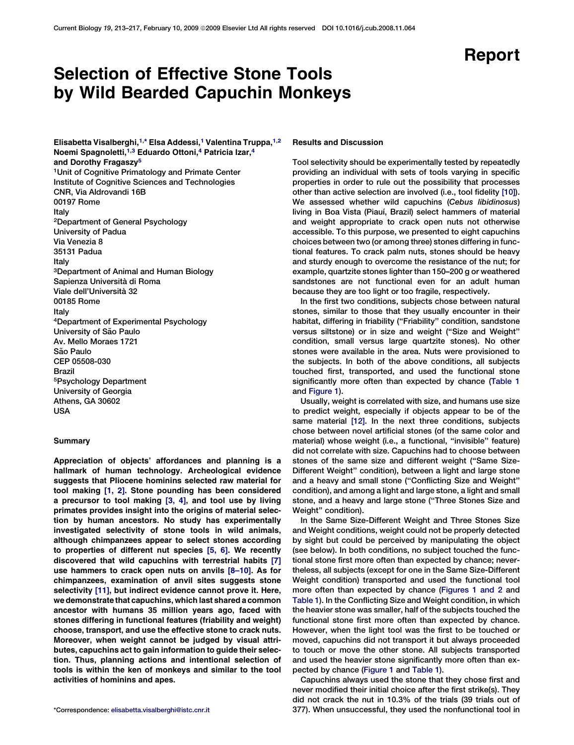## Report

# Selection of Effective Stone Tools by Wild Bearded Capuchin Monkeys

Elisabetta Visalberghi,<sup>1,\*</sup> Elsa Addessi,<sup>1</sup> Valentina Truppa,<sup>1,2</sup> Noemi Spagnoletti,<sup>1,3</sup> Eduardo Ottoni,<sup>4</sup> Patricia Izar,<sup>4</sup> and Dorothy Fragaszy<sup>5</sup> 1Unit of Cognitive Primatology and Primate Center Institute of Cognitive Sciences and Technologies CNR, Via Aldrovandi 16B 00197 Rome Italy 2Department of General Psychology University of Padua Via Venezia 8 35131 Padua Italy 3Department of Animal and Human Biology Sapienza Università di Roma Viale dell'Universita` 32 00185 Rome Italy 4Department of Experimental Psychology University of São Paulo Av. Mello Moraes 1721 São Paulo CEP 05508-030 Brazil 5Psychology Department University of Georgia Athens, GA 30602 USA

## Summary

Appreciation of objects' affordances and planning is a hallmark of human technology. Archeological evidence suggests that Pliocene hominins selected raw material for tool making [\[1, 2\]](#page-3-0). Stone pounding has been considered a precursor to tool making [\[3, 4\]](#page-3-0), and tool use by living primates provides insight into the origins of material selection by human ancestors. No study has experimentally investigated selectivity of stone tools in wild animals, although chimpanzees appear to select stones according to properties of different nut species [\[5, 6\]](#page-3-0). We recently discovered that wild capuchins with terrestrial habits [\[7\]](#page-3-0) use hammers to crack open nuts on anvils [\[8–10\].](#page-3-0) As for chimpanzees, examination of anvil sites suggests stone selectivity [\[11\],](#page-3-0) but indirect evidence cannot prove it. Here, we demonstrate that capuchins, which last shared a common ancestor with humans 35 million years ago, faced with stones differing in functional features (friability and weight) choose, transport, and use the effective stone to crack nuts. Moreover, when weight cannot be judged by visual attributes, capuchins act to gain information to guide their selection. Thus, planning actions and intentional selection of tools is within the ken of monkeys and similar to the tool activities of hominins and apes.

## Results and Discussion

Tool selectivity should be experimentally tested by repeatedly providing an individual with sets of tools varying in specific properties in order to rule out the possibility that processes other than active selection are involved (i.e., tool fidelity [\[10\]\)](#page-3-0). We assessed whether wild capuchins (Cebus libidinosus) living in Boa Vista (Piauí, Brazil) select hammers of material and weight appropriate to crack open nuts not otherwise accessible. To this purpose, we presented to eight capuchins choices between two (or among three) stones differing in functional features. To crack palm nuts, stones should be heavy and sturdy enough to overcome the resistance of the nut; for example, quartzite stones lighter than 150–200 g or weathered sandstones are not functional even for an adult human because they are too light or too fragile, respectively.

In the first two conditions, subjects chose between natural stones, similar to those that they usually encounter in their habitat, differing in friability ("Friability" condition, sandstone versus siltstone) or in size and weight (''Size and Weight'' condition, small versus large quartzite stones). No other stones were available in the area. Nuts were provisioned to the subjects. In both of the above conditions, all subjects touched first, transported, and used the functional stone significantly more often than expected by chance [\(Table 1](#page-1-0) and [Figure 1](#page-2-0)).

Usually, weight is correlated with size, and humans use size to predict weight, especially if objects appear to be of the same material [\[12\].](#page-3-0) In the next three conditions, subjects chose between novel artificial stones (of the same color and material) whose weight (i.e., a functional, ''invisible'' feature) did not correlate with size. Capuchins had to choose between stones of the same size and different weight (''Same Size-Different Weight'' condition), between a light and large stone and a heavy and small stone (''Conflicting Size and Weight'' condition), and among a light and large stone, a light and small stone, and a heavy and large stone (''Three Stones Size and Weight'' condition).

In the Same Size-Different Weight and Three Stones Size and Weight conditions, weight could not be properly detected by sight but could be perceived by manipulating the object (see below). In both conditions, no subject touched the functional stone first more often than expected by chance; nevertheless, all subjects (except for one in the Same Size-Different Weight condition) transported and used the functional tool more often than expected by chance ([Figures 1 and 2](#page-2-0) and [Table 1\)](#page-1-0). In the Conflicting Size and Weight condition, in which the heavier stone was smaller, half of the subjects touched the functional stone first more often than expected by chance. However, when the light tool was the first to be touched or moved, capuchins did not transport it but always proceeded to touch or move the other stone. All subjects transported and used the heavier stone significantly more often than expected by chance [\(Figure 1](#page-2-0) and [Table 1](#page-1-0)).

Capuchins always used the stone that they chose first and never modified their initial choice after the first strike(s). They did not crack the nut in 10.3% of the trials (39 trials out of \*Correspondence: [elisabetta.visalberghi@istc.cnr.it](mailto:elisabetta.visalberghi@istc.cnr.it) 377). When unsuccessful, they used the nonfunctional tool in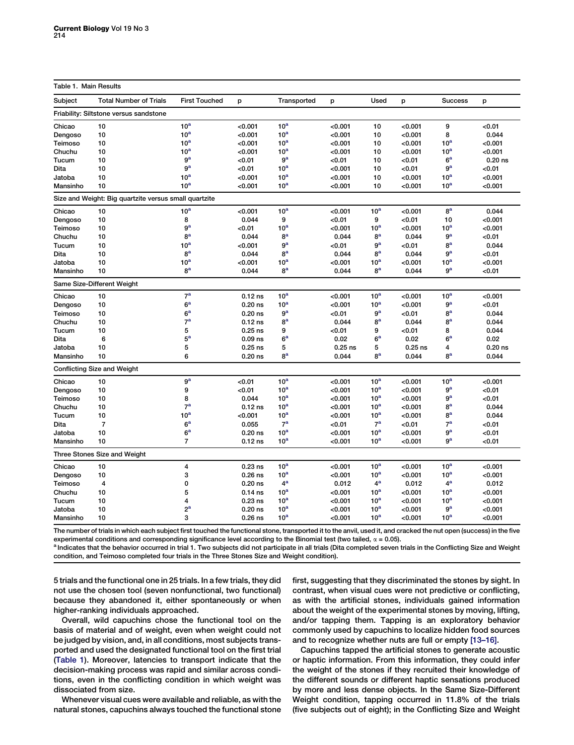## <span id="page-1-0"></span>Table 1 Main Results

| Subject  | <b>Total Number of Trials</b>                         | <b>First Touched</b> | p         | Transported     | p         | Used             | p         | <b>Success</b>                    | p         |
|----------|-------------------------------------------------------|----------------------|-----------|-----------------|-----------|------------------|-----------|-----------------------------------|-----------|
|          | Friability: Siltstone versus sandstone                |                      |           |                 |           |                  |           |                                   |           |
| Chicao   | 10                                                    | 10 <sup>a</sup>      | <0.001    | 10 <sup>a</sup> | < 0.001   | 10               | < 0.001   | 9                                 | < 0.01    |
| Dengoso  | 10                                                    | 10 <sup>a</sup>      | < 0.001   | 10 <sup>a</sup> | < 0.001   | 10               | < 0.001   | 8                                 | 0.044     |
| Teimoso  | 10                                                    | 10 <sup>a</sup>      | < 0.001   | 10 <sup>a</sup> | < 0.001   | 10               | < 0.001   | 10 <sup>a</sup>                   | < 0.001   |
| Chuchu   | 10                                                    | 10 <sup>a</sup>      | < 0.001   | 10 <sup>a</sup> | < 0.001   | 10               | < 0.001   | 10 <sup>a</sup>                   | < 0.001   |
| Tucum    | 10                                                    | 9 <sup>a</sup>       | <0.01     | 9 <sup>a</sup>  | < 0.01    | 10               | < 0.01    | 6 <sup>a</sup>                    | $0.20$ ns |
| Dita     | 10                                                    | 9 <sup>a</sup>       | < 0.01    | 10 <sup>a</sup> | < 0.001   | 10               | < 0.01    | 9 <sup>a</sup>                    | < 0.01    |
| Jatoba   | 10                                                    | 10 <sup>a</sup>      | < 0.001   | 10 <sup>a</sup> | < 0.001   | 10               | < 0.001   | 10 <sup>a</sup>                   | < 0.001   |
| Mansinho | 10                                                    | 10 <sup>a</sup>      | < 0.001   | 10 <sup>a</sup> | < 0.001   | 10               | < 0.001   | 10 <sup>a</sup>                   | < 0.001   |
|          | Size and Weight: Big quartzite versus small quartzite |                      |           |                 |           |                  |           |                                   |           |
| Chicao   | 10                                                    | 10 <sup>a</sup>      | < 0.001   | 10 <sup>a</sup> | < 0.001   | 10 <sup>a</sup>  | < 0.001   | 8 <sup>a</sup>                    | 0.044     |
| Dengoso  | 10                                                    | 8                    | 0.044     | 9               | < 0.01    | 9                | < 0.01    | 10                                | < 0.001   |
| Teimoso  | 10                                                    | $9^{\rm a}$          | <0.01     | 10 <sup>a</sup> | < 0.001   | 10 <sup>a</sup>  | < 0.001   | 10 <sup>a</sup>                   | < 0.001   |
| Chuchu   | 10                                                    | 8 <sup>a</sup>       | 0.044     | 8 <sup>a</sup>  | 0.044     | 8 <sup>a</sup>   | 0.044     | 9 <sup>a</sup>                    | < 0.01    |
| Tucum    | 10                                                    | 10 <sup>a</sup>      | < 0.001   | $9^{\rm a}$     | < 0.01    | 9 <sup>a</sup>   | < 0.01    | 8 <sup>a</sup>                    | 0.044     |
| Dita     | 10                                                    | 8 <sup>a</sup>       | 0.044     | 8 <sup>a</sup>  | 0.044     | 8 <sup>a</sup>   | 0.044     | 9 <sup>a</sup>                    | < 0.01    |
| Jatoba   | 10                                                    | 10 <sup>a</sup>      | < 0.001   | 10 <sup>a</sup> | < 0.001   | 10 <sup>a</sup>  | < 0.001   | 10 <sup>a</sup>                   | < 0.001   |
| Mansinho | 10                                                    | 8 <sup>a</sup>       | 0.044     | 8 <sup>a</sup>  | 0.044     | 8 <sup>a</sup>   | 0.044     | 9 <sup>a</sup>                    | < 0.01    |
|          | Same Size-Different Weight                            |                      |           |                 |           |                  |           |                                   |           |
|          |                                                       | 7 <sup>a</sup>       |           |                 |           |                  |           |                                   |           |
| Chicao   | 10                                                    |                      | $0.12$ ns | 10 <sup>a</sup> | < 0.001   | 10 <sup>a</sup>  | < 0.001   | 10 <sup>a</sup><br>9 <sup>a</sup> | < 0.001   |
| Dengoso  | 10                                                    | 6 <sup>a</sup>       | $0.20$ ns | 10 <sup>a</sup> | < 0.001   | $10^a$           | < 0.001   |                                   | < 0.01    |
| Teimoso  | 10                                                    | 6 <sup>a</sup>       | $0.20$ ns | 9 <sup>a</sup>  | <0.01     | 9 <sup>a</sup>   | < 0.01    | 8 <sup>a</sup>                    | 0.044     |
| Chuchu   | 10                                                    | 7 <sup>a</sup>       | $0.12$ ns | 8 <sup>a</sup>  | 0.044     | 8 <sup>a</sup>   | 0.044     | 8 <sup>a</sup>                    | 0.044     |
| Tucum    | 10                                                    | 5                    | $0.25$ ns | 9               | < 0.01    | 9                | < 0.01    | 8                                 | 0.044     |
| Dita     | 6                                                     | 5 <sup>a</sup>       | $0.09$ ns | $6^{\rm a}$     | 0.02      | 6 <sup>a</sup>   | 0.02      | 6 <sup>a</sup>                    | 0.02      |
| Jatoba   | 10                                                    | 5                    | $0.25$ ns | 5               | $0.25$ ns | 5                | $0.25$ ns | 4                                 | $0.20$ ns |
| Mansinho | 10                                                    | 6                    | $0.20$ ns | ga              | 0.044     | 8 <sup>a</sup>   | 0.044     | $R^a$                             | 0.044     |
|          | <b>Conflicting Size and Weight</b>                    |                      |           |                 |           |                  |           |                                   |           |
| Chicao   | 10                                                    | 9 <sup>a</sup>       | < 0.01    | 10 <sup>a</sup> | < 0.001   | 10 <sup>a</sup>  | < 0.001   | 10 <sup>a</sup>                   | < 0.001   |
| Dengoso  | 10                                                    | 9                    | < 0.01    | 10 <sup>a</sup> | < 0.001   | 10 <sup>a</sup>  | < 0.001   | 9 <sup>a</sup>                    | < 0.01    |
| Teimoso  | 10                                                    | 8                    | 0.044     | 10 <sup>a</sup> | < 0.001   | 10 <sup>a</sup>  | < 0.001   | 9 <sup>a</sup>                    | < 0.01    |
| Chuchu   | 10                                                    | 7 <sup>a</sup>       | $0.12$ ns | 10 <sup>a</sup> | < 0.001   | 10 <sup>a</sup>  | < 0.001   | 8 <sup>a</sup>                    | 0.044     |
| Tucum    | 10                                                    | 10 <sup>a</sup>      | < 0.001   | 10 <sup>a</sup> | < 0.001   | 10 <sup>a</sup>  | < 0.001   | 8 <sup>a</sup>                    | 0.044     |
| Dita     | $\overline{7}$                                        | 6 <sup>a</sup>       | 0.055     | 7 <sup>a</sup>  | < 0.01    | 7 <sup>a</sup>   | < 0.01    | 7 <sup>a</sup>                    | < 0.01    |
| Jatoba   | 10                                                    | 6 <sup>a</sup>       | $0.20$ ns | 10 <sup>a</sup> | < 0.001   | 10 <sup>a</sup>  | < 0.001   | 9 <sup>a</sup>                    | < 0.01    |
| Mansinho | 10                                                    | $\overline{7}$       | $0.12$ ns | 10 <sup>a</sup> | < 0.001   | 10 <sup>a</sup>  | < 0.001   | 9 <sup>a</sup>                    | < 0.01    |
|          | Three Stones Size and Weight                          |                      |           |                 |           |                  |           |                                   |           |
| Chicao   | 10                                                    | 4                    | $0.23$ ns | 10 <sup>a</sup> | < 0.001   | 10 <sup>a</sup>  | < 0.001   | 10 <sup>a</sup>                   | < 0.001   |
| Dengoso  | 10                                                    | 3                    | $0.26$ ns | 10 <sup>a</sup> | < 0.001   | 10 <sup>a</sup>  | < 0.001   | 10 <sup>a</sup>                   | < 0.001   |
| Teimoso  | 4                                                     | 0                    | $0.20$ ns | $4^a$           | 0.012     | $4^{\mathrm{a}}$ | 0.012     | 4 <sup>a</sup>                    | 0.012     |
| Chuchu   | 10                                                    | 5                    | $0.14$ ns | 10 <sup>a</sup> | < 0.001   | 10 <sup>a</sup>  | < 0.001   | 10 <sup>a</sup>                   | < 0.001   |
| Tucum    | 10                                                    | 4                    | $0.23$ ns | 10 <sup>a</sup> | < 0.001   | 10 <sup>a</sup>  | < 0.001   | 10 <sup>a</sup>                   | < 0.001   |
| Jatoba   | 10                                                    | $2^{\mathrm{a}}$     | $0.20$ ns | 10 <sup>a</sup> | < 0.001   | 10 <sup>a</sup>  | < 0.001   | 9 <sup>a</sup>                    | < 0.001   |
| Mansinho | 10                                                    | 3                    | $0.26$ ns | 10 <sup>a</sup> | < 0.001   | 10 <sup>a</sup>  | < 0.001   | 10 <sup>a</sup>                   | < 0.001   |

The number of trials in which each subject first touched the functional stone, transported it to the anvil, used it, and cracked the nut open (success) in the five experimental conditions and corresponding significance level according to the Binomial test (two tailed,  $\alpha = 0.05$ ).

a Indicates that the behavior occurred in trial 1. Two subjects did not participate in all trials (Dita completed seven trials in the Conflicting Size and Weight condition, and Teimoso completed four trials in the Three Stones Size and Weight condition).

5 trials and the functional one in 25 trials. In a few trials, they did not use the chosen tool (seven nonfunctional, two functional) because they abandoned it, either spontaneously or when higher-ranking individuals approached.

Overall, wild capuchins chose the functional tool on the basis of material and of weight, even when weight could not be judged by vision, and, in all conditions, most subjects transported and used the designated functional tool on the first trial (Table 1). Moreover, latencies to transport indicate that the decision-making process was rapid and similar across conditions, even in the conflicting condition in which weight was dissociated from size.

Whenever visual cues were available and reliable, as with the natural stones, capuchins always touched the functional stone

first, suggesting that they discriminated the stones by sight. In contrast, when visual cues were not predictive or conflicting, as with the artificial stones, individuals gained information about the weight of the experimental stones by moving, lifting, and/or tapping them. Tapping is an exploratory behavior commonly used by capuchins to localize hidden food sources and to recognize whether nuts are full or empty [13-16].

Capuchins tapped the artificial stones to generate acoustic or haptic information. From this information, they could infer the weight of the stones if they recruited their knowledge of the different sounds or different haptic sensations produced by more and less dense objects. In the Same Size-Different Weight condition, tapping occurred in 11.8% of the trials (five subjects out of eight); in the Conflicting Size and Weight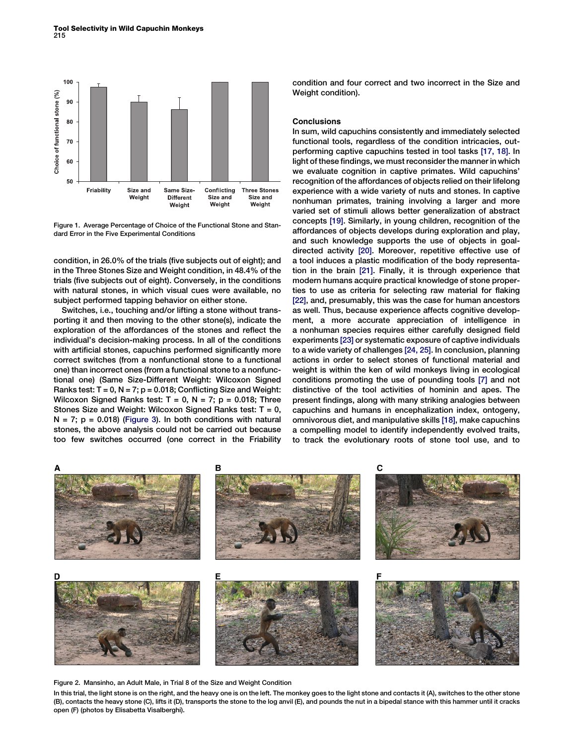<span id="page-2-0"></span>

Figure 1. Average Percentage of Choice of the Functional Stone and Standard Error in the Five Experimental Conditions

condition, in 26.0% of the trials (five subjects out of eight); and in the Three Stones Size and Weight condition, in 48.4% of the trials (five subjects out of eight). Conversely, in the conditions with natural stones, in which visual cues were available, no subject performed tapping behavior on either stone.

Switches, i.e., touching and/or lifting a stone without transporting it and then moving to the other stone(s), indicate the exploration of the affordances of the stones and reflect the individual's decision-making process. In all of the conditions with artificial stones, capuchins performed significantly more correct switches (from a nonfunctional stone to a functional one) than incorrect ones (from a functional stone to a nonfunctional one) (Same Size-Different Weight: Wilcoxon Signed Ranks test:  $T = 0$ ,  $N = 7$ ;  $p = 0.018$ ; Conflicting Size and Weight: Wilcoxon Signed Ranks test:  $T = 0$ ,  $N = 7$ ;  $p = 0.018$ ; Three Stones Size and Weight: Wilcoxon Signed Ranks test:  $T = 0$ ,  $N = 7$ ;  $p = 0.018$ ) ([Figure 3](#page-3-0)). In both conditions with natural stones, the above analysis could not be carried out because too few switches occurred (one correct in the Friability condition and four correct and two incorrect in the Size and Weight condition).

## **Conclusions**

In sum, wild capuchins consistently and immediately selected functional tools, regardless of the condition intricacies, outperforming captive capuchins tested in tool tasks [\[17, 18\]](#page-3-0). In light of these findings, we must reconsider the manner in which we evaluate cognition in captive primates. Wild capuchins' recognition of the affordances of objects relied on their lifelong experience with a wide variety of nuts and stones. In captive nonhuman primates, training involving a larger and more varied set of stimuli allows better generalization of abstract concepts [\[19\].](#page-3-0) Similarly, in young children, recognition of the affordances of objects develops during exploration and play, and such knowledge supports the use of objects in goaldirected activity [\[20\].](#page-3-0) Moreover, repetitive effective use of a tool induces a plastic modification of the body representation in the brain [\[21\]](#page-3-0). Finally, it is through experience that modern humans acquire practical knowledge of stone properties to use as criteria for selecting raw material for flaking [\[22\],](#page-3-0) and, presumably, this was the case for human ancestors as well. Thus, because experience affects cognitive development, a more accurate appreciation of intelligence in a nonhuman species requires either carefully designed field experiments [\[23\]](#page-4-0) or systematic exposure of captive individuals to a wide variety of challenges [\[24, 25\]](#page-4-0). In conclusion, planning actions in order to select stones of functional material and weight is within the ken of wild monkeys living in ecological conditions promoting the use of pounding tools [\[7\]](#page-3-0) and not distinctive of the tool activities of hominin and apes. The present findings, along with many striking analogies between capuchins and humans in encephalization index, ontogeny, omnivorous diet, and manipulative skills [\[18\],](#page-3-0) make capuchins a compelling model to identify independently evolved traits, to track the evolutionary roots of stone tool use, and to



Figure 2. Mansinho, an Adult Male, in Trial 8 of the Size and Weight Condition

In this trial, the light stone is on the right, and the heavy one is on the left. The monkey goes to the light stone and contacts it (A), switches to the other stone (B), contacts the heavy stone (C), lifts it (D), transports the stone to the log anvil (E), and pounds the nut in a bipedal stance with this hammer until it cracks open (F) (photos by Elisabetta Visalberghi).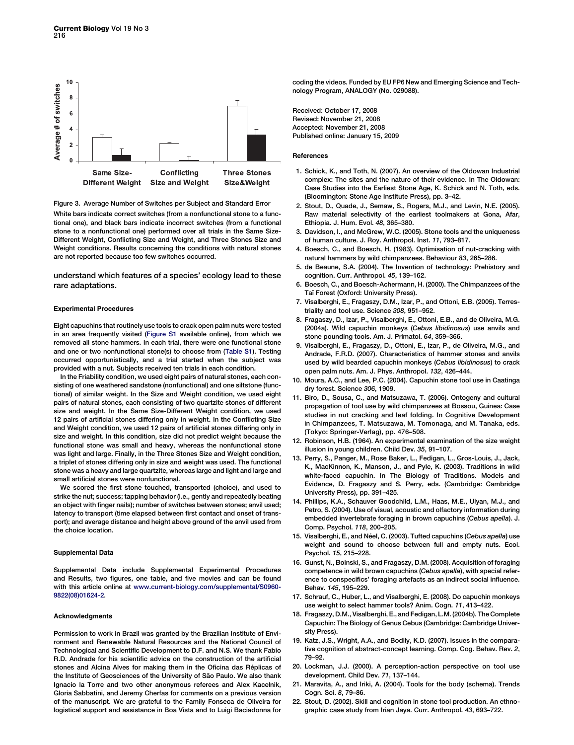<span id="page-3-0"></span>

Figure 3. Average Number of Switches per Subject and Standard Error White bars indicate correct switches (from a nonfunctional stone to a functional one), and black bars indicate incorrect switches (from a functional stone to a nonfunctional one) performed over all trials in the Same Size-Different Weight, Conflicting Size and Weight, and Three Stones Size and Weight conditions. Results concerning the conditions with natural stones are not reported because too few switches occurred.

understand which features of a species' ecology lead to these rare adaptations.

#### Experimental Procedures

Eight capuchins that routinely use tools to crack open palm nuts were tested in an area frequently visited (Figure S1 available online), from which we removed all stone hammers. In each trial, there were one functional stone and one or two nonfunctional stone(s) to choose from (Table S1). Testing occurred opportunistically, and a trial started when the subject was provided with a nut. Subjects received ten trials in each condition.

In the Friability condition, we used eight pairs of natural stones, each consisting of one weathered sandstone (nonfunctional) and one siltstone (functional) of similar weight. In the Size and Weight condition, we used eight pairs of natural stones, each consisting of two quartzite stones of different size and weight. In the Same Size-Different Weight condition, we used 12 pairs of artificial stones differing only in weight. In the Conflicting Size and Weight condition, we used 12 pairs of artificial stones differing only in size and weight. In this condition, size did not predict weight because the functional stone was small and heavy, whereas the nonfunctional stone was light and large. Finally, in the Three Stones Size and Weight condition, a triplet of stones differing only in size and weight was used. The functional stone was a heavy and large quartzite, whereas large and light and large and small artificial stones were nonfunctional.

We scored the first stone touched, transported (choice), and used to strike the nut; success; tapping behavior (i.e., gently and repeatedly beating an object with finger nails); number of switches between stones; anvil used; latency to transport (time elapsed between first contact and onset of transport); and average distance and height above ground of the anvil used from the choice location.

#### Supplemental Data

Supplemental Data include Supplemental Experimental Procedures and Results, two figures, one table, and five movies and can be found with this article online at [www.current-biology.com/supplemental/S0960-](http://www.current-biology.com/supplemental/S0960-9822(08)01624-2) [9822\(08\)01624-2](http://www.current-biology.com/supplemental/S0960-9822(08)01624-2).

#### **Acknowledaments**

Permission to work in Brazil was granted by the Brazilian Institute of Environment and Renewable Natural Resources and the National Council of Technological and Scientific Development to D.F. and N.S. We thank Fabio R.D. Andrade for his scientific advice on the construction of the artificial stones and Alcina Alves for making them in the Oficina das Réplicas of the Institute of Geosciences of the University of São Paulo. We also thank Ignacio la Torre and two other anonymous referees and Alex Kacelnik, Gloria Sabbatini, and Jeremy Cherfas for comments on a previous version of the manuscript. We are grateful to the Family Fonseca de Oliveira for logistical support and assistance in Boa Vista and to Luigi Baciadonna for

coding the videos. Funded by EU FP6 New and Emerging Science and Technology Program, ANALOGY (No. 029088).

Received: October 17, 2008 Revised: November 21, 2008 Accepted: November 21, 2008 Published online: January 15, 2009

#### References

- 1. Schick, K., and Toth, N. (2007). An overview of the Oldowan Industrial complex: The sites and the nature of their evidence. In The Oldowan: Case Studies into the Earliest Stone Age, K. Schick and N. Toth, eds. (Bloomington: Stone Age Institute Press), pp. 3–42.
- 2. Stout, D., Quade, J., Semaw, S., Rogers, M.J., and Levin, N.E. (2005). Raw material selectivity of the earliest toolmakers at Gona, Afar, Ethiopia. J. Hum. Evol. 48, 365–380.
- 3. Davidson, I., and McGrew, W.C. (2005). Stone tools and the uniqueness of human culture. J. Roy. Anthropol. Inst. 11, 793–817.
- 4. Boesch, C., and Boesch, H. (1983). Optimisation of nut-cracking with natural hammers by wild chimpanzees. Behaviour 83, 265–286.
- 5. de Beaune, S.A. (2004). The Invention of technology: Prehistory and cognition. Curr. Anthropol. 45, 139–162.
- 6. Boesch, C., and Boesch-Achermann, H. (2000). The Chimpanzees of the Taï Forest (Oxford: University Press).
- 7. Visalberghi, E., Fragaszy, D.M., Izar, P., and Ottoni, E.B. (2005). Terrestriality and tool use. Science 308, 951–952.
- 8. Fragaszy, D., Izar, P., Visalberghi, E., Ottoni, E.B., and de Oliveira, M.G. (2004a). Wild capuchin monkeys (Cebus libidinosus) use anvils and stone pounding tools. Am. J. Primatol. 64, 359–366.
- 9. Visalberghi, E., Fragaszy, D., Ottoni, E., Izar, P., de Oliveira, M.G., and Andrade, F.R.D. (2007). Characteristics of hammer stones and anvils used by wild bearded capuchin monkeys (Cebus libidinosus) to crack open palm nuts. Am. J. Phys. Anthropol. 132, 426–444.
- 10. Moura, A.C., and Lee, P.C. (2004). Capuchin stone tool use in Caatinga dry forest. Science 306, 1909.
- 11. Biro, D., Sousa, C., and Matsuzawa, T. (2006). Ontogeny and cultural propagation of tool use by wild chimpanzees at Bossou, Guinea: Case studies in nut cracking and leaf folding. In Cognitive Development in Chimpanzees, T. Matsuzawa, M. Tomonaga, and M. Tanaka, eds. (Tokyo: Springer-Verlag), pp. 476–508.
- 12. Robinson, H.B. (1964). An experimental examination of the size weight illusion in young children. Child Dev. 35, 91–107.
- 13. Perry, S., Panger, M., Rose Baker, L., Fedigan, L., Gros-Louis, J., Jack, K., MacKinnon, K., Manson, J., and Pyle, K. (2003). Traditions in wild white-faced capuchin. In The Biology of Traditions. Models and Evidence, D. Fragaszy and S. Perry, eds. (Cambridge: Cambridge University Press), pp. 391–425.
- 14. Phillips, K.A., Schauver Goodchild, L.M., Haas, M.E., Ulyan, M.J., and Petro, S. (2004). Use of visual, acoustic and olfactory information during embedded invertebrate foraging in brown capuchins (Cebus apella). J. Comp. Psychol. 118, 200–205.
- 15. Visalberghi, E., and Néel, C. (2003). Tufted capuchins (Cebus apella) use weight and sound to choose between full and empty nuts. Ecol. Psychol. 15, 215–228.
- 16. Gunst, N., Boinski, S., and Fragaszy, D.M. (2008). Acquisition of foraging competence in wild brown capuchins (Cebus apella), with special reference to conspecifics' foraging artefacts as an indirect social influence. Behav. 145, 195–229.
- 17. Schrauf, C., Huber, L., and Visalberghi, E. (2008). Do capuchin monkeys use weight to select hammer tools? Anim. Cogn. 11, 413–422.
- 18. Fragaszy, D.M., Visalberghi, E., and Fedigan, L.M. (2004b). The Complete Capuchin: The Biology of Genus Cebus (Cambridge: Cambridge University Press).
- 19. Katz, J.S., Wright, A.A., and Bodily, K.D. (2007). Issues in the comparative cognition of abstract-concept learning. Comp. Cog. Behav. Rev. 2, 79–92.
- 20. Lockman, J.J. (2000). A perception-action perspective on tool use development. Child Dev. 71, 137–144.
- 21. Maravita, A., and Iriki, A. (2004). Tools for the body (schema). Trends Cogn. Sci. 8, 79–86.
- 22. Stout, D. (2002). Skill and cognition in stone tool production. An ethnographic case study from Irian Jaya. Curr. Anthropol. 43, 693–722.